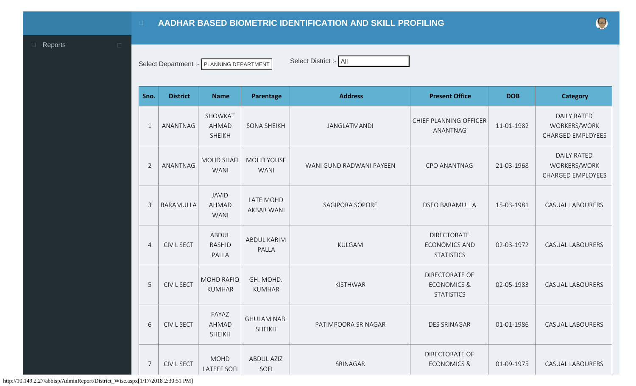## **AADHAR BASED BIOMETRIC IDENTIFICATION AND SKILL PROFILING**

<span id="page-0-0"></span>**Exercise Exercise Exercise Exercise Exercise Exercise Exercise Exercise Exercise Exercise Exercise Exercise** 

Select Department :- PLANNING DEPARTMENT Select District :- All

| Sno.           | <b>District</b>   | <b>Name</b>                          | Parentage                           | <b>Address</b>                                                            | <b>Present Office</b>                                                | <b>DOB</b>                                                     | <b>Category</b>                                                |
|----------------|-------------------|--------------------------------------|-------------------------------------|---------------------------------------------------------------------------|----------------------------------------------------------------------|----------------------------------------------------------------|----------------------------------------------------------------|
| $\mathbf{1}$   | ANANTNAG          | SHOWKAT<br>AHMAD<br><b>SHEIKH</b>    | <b>SONA SHEIKH</b>                  | JANGLATMANDI                                                              | CHIEF PLANNING OFFICER<br>ANANTNAG                                   | 11-01-1982                                                     | <b>DAILY RATED</b><br>WORKERS/WORK<br><b>CHARGED EMPLOYEES</b> |
| $\overline{2}$ | ANANTNAG          | <b>MOHD SHAFI</b><br><b>WANI</b>     | <b>MOHD YOUSF</b><br><b>WANI</b>    | <b>CPO ANANTNAG</b><br>21-03-1968<br>WANI GUND RADWANI PAYEEN             |                                                                      | <b>DAILY RATED</b><br>WORKERS/WORK<br><b>CHARGED EMPLOYEES</b> |                                                                |
| $\overline{3}$ | <b>BARAMULLA</b>  | <b>JAVID</b><br>AHMAD<br><b>WANI</b> | LATE MOHD<br><b>AKBAR WANI</b>      | <b>SAGIPORA SOPORE</b>                                                    | <b>DSEO BARAMULLA</b>                                                | 15-03-1981                                                     | <b>CASUAL LABOURERS</b>                                        |
| $\overline{4}$ | <b>CIVIL SECT</b> | ABDUL<br><b>RASHID</b><br>PALLA      | ABDUL KARIM<br>PALLA                | DIRECTORATE<br><b>KULGAM</b><br><b>ECONOMICS AND</b><br><b>STATISTICS</b> |                                                                      | 02-03-1972                                                     | <b>CASUAL LABOURERS</b>                                        |
| 5              | <b>CIVIL SECT</b> | <b>MOHD RAFIQ</b><br><b>KUMHAR</b>   | GH. MOHD.<br><b>KUMHAR</b>          | <b>KISTHWAR</b>                                                           | <b>DIRECTORATE OF</b><br><b>ECONOMICS &amp;</b><br><b>STATISTICS</b> | 02-05-1983                                                     | <b>CASUAL LABOURERS</b>                                        |
| 6              | <b>CIVIL SECT</b> | FAYAZ<br>AHMAD<br><b>SHEIKH</b>      | <b>GHULAM NABI</b><br><b>SHEIKH</b> | PATIMPOORA SRINAGAR                                                       | <b>DES SRINAGAR</b>                                                  | 01-01-1986                                                     | <b>CASUAL LABOURERS</b>                                        |
| $\overline{7}$ | <b>CIVIL SECT</b> | <b>MOHD</b><br><b>LATEEF SOFI</b>    | <b>ABDUL AZIZ</b><br>SOFI           | SRINAGAR                                                                  | <b>DIRECTORATE OF</b><br><b>ECONOMICS &amp;</b>                      | 01-09-1975                                                     | <b>CASUAL LABOURERS</b>                                        |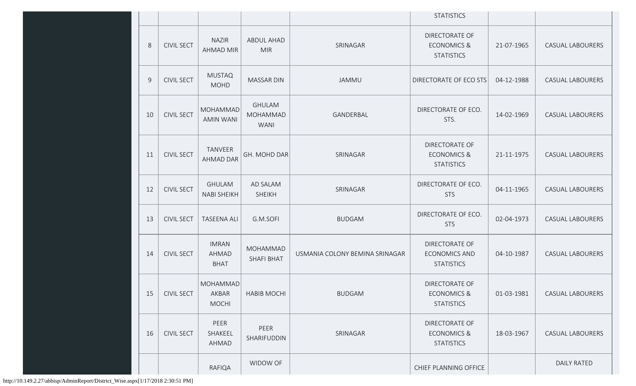|                |                   |                                      |                                          |                                | <b>STATISTICS</b>                                                    |            |                         |
|----------------|-------------------|--------------------------------------|------------------------------------------|--------------------------------|----------------------------------------------------------------------|------------|-------------------------|
| 8              | <b>CIVIL SECT</b> | <b>NAZIR</b><br><b>AHMAD MIR</b>     | <b>ABDUL AHAD</b><br><b>MIR</b>          | SRINAGAR                       | <b>DIRECTORATE OF</b><br><b>ECONOMICS &amp;</b><br><b>STATISTICS</b> | 21-07-1965 | CASUAL LABOURERS        |
| $\overline{9}$ | <b>CIVIL SECT</b> | <b>MUSTAQ</b><br><b>MOHD</b>         | <b>MASSAR DIN</b>                        | <b>JAMMU</b>                   | DIRECTORATE OF ECO STS                                               | 04-12-1988 | CASUAL LABOURERS        |
| 10             | <b>CIVIL SECT</b> | MOHAMMAD<br><b>AMIN WANI</b>         | <b>GHULAM</b><br>MOHAMMAD<br><b>WANI</b> | GANDERBAL                      | DIRECTORATE OF ECO.<br>STS.                                          | 14-02-1969 | <b>CASUAL LABOURERS</b> |
| 11             | <b>CIVIL SECT</b> | TANVEER<br><b>AHMAD DAR</b>          | GH. MOHD DAR                             | SRINAGAR                       | DIRECTORATE OF<br><b>ECONOMICS &amp;</b><br><b>STATISTICS</b>        | 21-11-1975 | <b>CASUAL LABOURERS</b> |
| 12             | <b>CIVIL SECT</b> | <b>GHULAM</b><br><b>NABI SHEIKH</b>  | AD SALAM<br><b>SHEIKH</b>                | SRINAGAR                       | DIRECTORATE OF ECO.<br><b>STS</b>                                    | 04-11-1965 | <b>CASUAL LABOURERS</b> |
| 13             | <b>CIVIL SECT</b> | <b>TASEENA ALI</b>                   | G.M.SOFI                                 | <b>BUDGAM</b>                  | DIRECTORATE OF ECO.<br><b>STS</b>                                    | 02-04-1973 | <b>CASUAL LABOURERS</b> |
| 14             | <b>CIVIL SECT</b> | <b>IMRAN</b><br>AHMAD<br><b>BHAT</b> | MOHAMMAD<br>SHAFI BHAT                   | USMANIA COLONY BEMINA SRINAGAR | DIRECTORATE OF<br><b>ECONOMICS AND</b><br><b>STATISTICS</b>          | 04-10-1987 | <b>CASUAL LABOURERS</b> |
|                | 15   CIVIL SECT   | MOHAMMAD<br>AKBAR<br><b>MOCHI</b>    | <b>HABIB MOCHI</b>                       | <b>BUDGAM</b>                  | DIRECTORATE OF<br><b>ECONOMICS &amp;</b><br><b>STATISTICS</b>        | 01-03-1981 | <b>CASUAL LABOURERS</b> |
| 16             | <b>CIVIL SECT</b> | PEER<br>SHAKEEL<br>AHMAD             | PEER<br>SHARIFUDDIN                      | SRINAGAR                       | DIRECTORATE OF<br><b>ECONOMICS &amp;</b><br><b>STATISTICS</b>        | 18-03-1967 | <b>CASUAL LABOURERS</b> |
|                |                   | RAFIQA                               | WIDOW OF                                 |                                | CHIEF PLANNING OFFICE                                                |            | <b>DAILY RATED</b>      |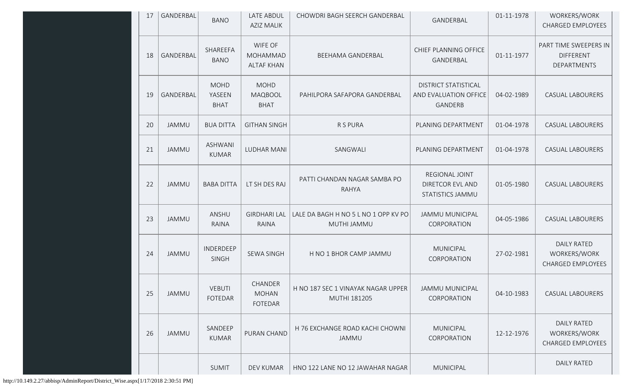| 17 | <b>GANDERBAL</b> | <b>BANO</b>                          | <b>LATE ABDUL</b><br><b>AZIZ MALIK</b>    | CHOWDRI BAGH SEERCH GANDERBAL                       | GANDERBAL                                                       | 01-11-1978 | WORKERS/WORK<br><b>CHARGED EMPLOYEES</b>                       |
|----|------------------|--------------------------------------|-------------------------------------------|-----------------------------------------------------|-----------------------------------------------------------------|------------|----------------------------------------------------------------|
| 18 | GANDERBAL        | SHAREEFA<br><b>BANO</b>              | WIFE OF<br>MOHAMMAD<br><b>ALTAF KHAN</b>  | BEEHAMA GANDERBAL                                   | CHIEF PLANNING OFFICE<br>GANDERBAL                              | 01-11-1977 | PART TIME SWEEPERS IN<br><b>DIFFERENT</b><br>DEPARTMENTS       |
| 19 | GANDERBAL        | <b>MOHD</b><br>YASEEN<br><b>BHAT</b> | <b>MOHD</b><br>MAQBOOL<br><b>BHAT</b>     | PAHILPORA SAFAPORA GANDERBAL                        | <b>DISTRICT STATISTICAL</b><br>AND EVALUATION OFFICE<br>GANDERB | 04-02-1989 | <b>CASUAL LABOURERS</b>                                        |
| 20 | <b>JAMMU</b>     | <b>BUA DITTA</b>                     | <b>GITHAN SINGH</b>                       | R S PURA                                            | PLANING DEPARTMENT                                              | 01-04-1978 | <b>CASUAL LABOURERS</b>                                        |
| 21 | <b>JAMMU</b>     | <b>ASHWANI</b><br><b>KUMAR</b>       | <b>LUDHAR MANI</b>                        | SANGWALI                                            | PLANING DEPARTMENT                                              | 01-04-1978 | <b>CASUAL LABOURERS</b>                                        |
| 22 | <b>JAMMU</b>     | <b>BABA DITTA</b>                    | LT SH DES RAJ                             | PATTI CHANDAN NAGAR SAMBA PO<br><b>RAHYA</b>        | REGIONAL JOINT<br>DIRETCOR EVL AND<br>STATISTICS JAMMU          | 01-05-1980 | <b>CASUAL LABOURERS</b>                                        |
| 23 | <b>JAMMU</b>     | ANSHU<br>RAINA                       | <b>GIRDHARI LAL</b><br><b>RAINA</b>       | LALE DA BAGH H NO 5 L NO 1 OPP KV PO<br>MUTHI JAMMU | <b>JAMMU MUNICIPAL</b><br>CORPORATION                           | 04-05-1986 | <b>CASUAL LABOURERS</b>                                        |
| 24 | <b>JAMMU</b>     | <b>INDERDEEP</b><br>SINGH            | <b>SEWA SINGH</b>                         | H NO 1 BHOR CAMP JAMMU                              | <b>MUNICIPAL</b><br>CORPORATION                                 | 27-02-1981 | <b>DAILY RATED</b><br>WORKERS/WORK<br><b>CHARGED EMPLOYEES</b> |
| 25 | JAMMU            | <b>VEBUTI</b><br><b>FOTEDAR</b>      | CHANDER<br><b>MOHAN</b><br><b>FOTEDAR</b> | H NO 187 SEC 1 VINAYAK NAGAR UPPER<br>MUTHI 181205  | <b>JAMMU MUNICIPAL</b><br>CORPORATION                           | 04-10-1983 | CASUAL LABOURERS                                               |
| 26 | <b>JAMMU</b>     | SANDEEP<br><b>KUMAR</b>              | PURAN CHAND                               | H 76 EXCHANGE ROAD KACHI CHOWNI<br>JAMMU            | <b>MUNICIPAL</b><br>CORPORATION                                 | 12-12-1976 | <b>DAILY RATED</b><br>WORKERS/WORK<br>CHARGED EMPLOYEES        |
|    |                  | SUMIT                                | DEV KUMAR                                 | HNO 122 LANE NO 12 JAWAHAR NAGAR                    | <b>MUNICIPAL</b>                                                |            | <b>DAILY RATED</b>                                             |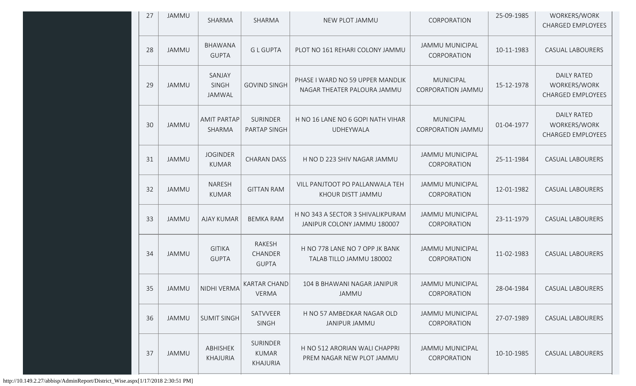| 27 | JAMMU        | SHARMA                          | SHARMA                                      | NEW PLOT JAMMU                                                                                        | CORPORATION                                  | 25-09-1985 | WORKERS/WORK<br><b>CHARGED EMPLOYEES</b>                       |
|----|--------------|---------------------------------|---------------------------------------------|-------------------------------------------------------------------------------------------------------|----------------------------------------------|------------|----------------------------------------------------------------|
| 28 | <b>JAMMU</b> | <b>BHAWANA</b><br><b>GUPTA</b>  | <b>GLGUPTA</b>                              | PLOT NO 161 REHARI COLONY JAMMU                                                                       | <b>JAMMU MUNICIPAL</b><br>CORPORATION        | 10-11-1983 | <b>CASUAL LABOURERS</b>                                        |
| 29 | <b>JAMMU</b> | SANJAY<br>SINGH<br>JAMWAL       | <b>GOVIND SINGH</b>                         | PHASE I WARD NO 59 UPPER MANDLIK<br>NAGAR THEATER PALOURA JAMMU                                       | <b>MUNICIPAL</b><br><b>CORPORATION JAMMU</b> | 15-12-1978 | <b>DAILY RATED</b><br>WORKERS/WORK<br><b>CHARGED EMPLOYEES</b> |
| 30 | <b>JAMMU</b> | <b>AMIT PARTAP</b><br>SHARMA    | SURINDER<br>PARTAP SINGH                    | <b>MUNICIPAL</b><br>H NO 16 LANE NO 6 GOPI NATH VIHAR<br><b>UDHEYWALA</b><br><b>CORPORATION JAMMU</b> |                                              | 01-04-1977 | <b>DAILY RATED</b><br>WORKERS/WORK<br><b>CHARGED EMPLOYEES</b> |
| 31 | <b>JAMMU</b> | <b>JOGINDER</b><br><b>KUMAR</b> | <b>CHARAN DASS</b>                          | H NO D 223 SHIV NAGAR JAMMU                                                                           | <b>JAMMU MUNICIPAL</b><br>CORPORATION        | 25-11-1984 | <b>CASUAL LABOURERS</b>                                        |
| 32 | <b>JAMMU</b> | <b>NARESH</b><br><b>KUMAR</b>   | <b>GITTAN RAM</b>                           | VILL PANJTOOT PO PALLANWALA TEH<br>KHOUR DISTT JAMMU                                                  | <b>JAMMU MUNICIPAL</b><br>CORPORATION        | 12-01-1982 | <b>CASUAL LABOURERS</b>                                        |
| 33 | <b>JAMMU</b> | <b>AJAY KUMAR</b>               | <b>BEMKA RAM</b>                            | H NO 343 A SECTOR 3 SHIVALIKPURAM<br>JANIPUR COLONY JAMMU 180007                                      | <b>JAMMU MUNICIPAL</b><br>CORPORATION        | 23-11-1979 | <b>CASUAL LABOURERS</b>                                        |
| 34 | <b>JAMMU</b> | <b>GITIKA</b><br><b>GUPTA</b>   | RAKESH<br>CHANDER<br><b>GUPTA</b>           | H NO 778 LANE NO 7 OPP JK BANK<br>TALAB TILLO JAMMU 180002                                            | <b>JAMMU MUNICIPAL</b><br>CORPORATION        | 11-02-1983 | <b>CASUAL LABOURERS</b>                                        |
| 35 | <b>JAMMU</b> | NIDHI VERMA                     | <b>KARTAR CHAND</b><br><b>VERMA</b>         | 104 B BHAWANI NAGAR JANIPUR<br>JAMMU                                                                  | <b>JAMMU MUNICIPAL</b><br>CORPORATION        | 28-04-1984 | <b>CASUAL LABOURERS</b>                                        |
| 36 | <b>JAMMU</b> | <b>SUMIT SINGH</b>              | SATVVEER<br><b>SINGH</b>                    | H NO 57 AMBEDKAR NAGAR OLD<br><b>JANIPUR JAMMU</b>                                                    | <b>JAMMU MUNICIPAL</b><br>CORPORATION        | 27-07-1989 | <b>CASUAL LABOURERS</b>                                        |
| 37 | <b>JAMMU</b> | ABHISHEK<br>KHAJURIA            | <b>SURINDER</b><br><b>KUMAR</b><br>KHAJURIA | H NO 512 ARORIAN WALI CHAPPRI<br>PREM NAGAR NEW PLOT JAMMU                                            | JAMMU MUNICIPAL<br>CORPORATION               | 10-10-1985 | <b>CASUAL LABOURERS</b>                                        |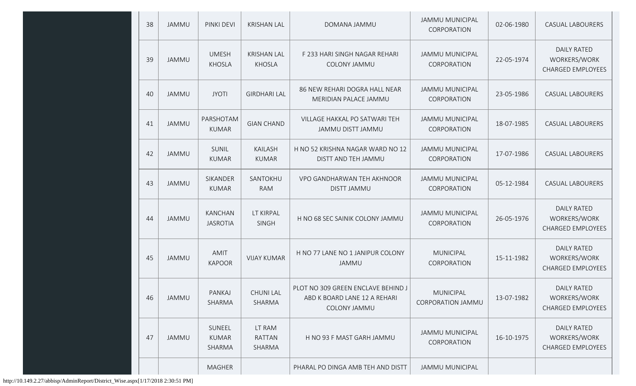| 38 | JAMMU        | PINKI DEVI                        | <b>KRISHAN LAL</b>                  | DOMANA JAMMU                                                                       | <b>JAMMU MUNICIPAL</b><br>CORPORATION        | 02-06-1980 | <b>CASUAL LABOURERS</b>                                        |
|----|--------------|-----------------------------------|-------------------------------------|------------------------------------------------------------------------------------|----------------------------------------------|------------|----------------------------------------------------------------|
| 39 | JAMMU        | <b>UMESH</b><br><b>KHOSLA</b>     | <b>KRISHAN LAL</b><br><b>KHOSLA</b> | F 233 HARI SINGH NAGAR REHARI<br>COLONY JAMMU                                      | <b>JAMMU MUNICIPAL</b><br>CORPORATION        | 22-05-1974 | <b>DAILY RATED</b><br>WORKERS/WORK<br><b>CHARGED EMPLOYEES</b> |
| 40 | <b>JAMMU</b> | <b>JYOTI</b>                      | <b>GIRDHARI LAL</b>                 | 86 NEW REHARI DOGRA HALL NEAR<br>MERIDIAN PALACE JAMMU                             | <b>JAMMU MUNICIPAL</b><br>CORPORATION        | 23-05-1986 | <b>CASUAL LABOURERS</b>                                        |
| 41 | <b>JAMMU</b> | PARSHOTAM<br><b>KUMAR</b>         | <b>GIAN CHAND</b>                   | VILLAGE HAKKAL PO SATWARI TEH<br>JAMMU DISTT JAMMU                                 | JAMMU MUNICIPAL<br>CORPORATION               | 18-07-1985 | <b>CASUAL LABOURERS</b>                                        |
| 42 | <b>JAMMU</b> | SUNIL<br><b>KUMAR</b>             | <b>KAILASH</b><br><b>KUMAR</b>      | H NO 52 KRISHNA NAGAR WARD NO 12<br>DISTT AND TEH JAMMU                            | <b>JAMMU MUNICIPAL</b><br>CORPORATION        | 17-07-1986 | <b>CASUAL LABOURERS</b>                                        |
| 43 | <b>JAMMU</b> | <b>SIKANDER</b><br><b>KUMAR</b>   | SANTOKHU<br><b>RAM</b>              | VPO GANDHARWAN TEH AKHNOOR<br><b>DISTT JAMMU</b>                                   | <b>JAMMU MUNICIPAL</b><br>CORPORATION        | 05-12-1984 | <b>CASUAL LABOURERS</b>                                        |
| 44 | <b>JAMMU</b> | <b>KANCHAN</b><br><b>JASROTIA</b> | LT KIRPAL<br><b>SINGH</b>           | H NO 68 SEC SAINIK COLONY JAMMU                                                    | <b>JAMMU MUNICIPAL</b><br>CORPORATION        | 26-05-1976 | <b>DAILY RATED</b><br>WORKERS/WORK<br><b>CHARGED EMPLOYEES</b> |
| 45 | <b>JAMMU</b> | AMIT<br><b>KAPOOR</b>             | <b>VIJAY KUMAR</b>                  | H NO 77 LANE NO 1 JANIPUR COLONY<br><b>JAMMU</b>                                   | <b>MUNICIPAL</b><br>CORPORATION              | 15-11-1982 | <b>DAILY RATED</b><br>WORKERS/WORK<br><b>CHARGED EMPLOYEES</b> |
| 46 | JAMMU        | PANKAJ<br>SHARMA                  | <b>CHUNI LAL</b><br>SHARMA          | PLOT NO 309 GREEN ENCLAVE BEHIND J<br>ABD K BOARD LANE 12 A REHARI<br>COLONY JAMMU | <b>MUNICIPAL</b><br><b>CORPORATION JAMMU</b> | 13-07-1982 | <b>DAILY RATED</b><br>WORKERS/WORK<br><b>CHARGED EMPLOYEES</b> |
| 47 | JAMMU        | SUNEEL<br><b>KUMAR</b><br>SHARMA  | LT RAM<br><b>RATTAN</b><br>SHARMA   | H NO 93 F MAST GARH JAMMU                                                          | <b>JAMMU MUNICIPAL</b><br>CORPORATION        | 16-10-1975 | <b>DAILY RATED</b><br>WORKERS/WORK<br><b>CHARGED EMPLOYEES</b> |
|    |              | <b>MAGHER</b>                     |                                     | PHARAL PO DINGA AMB TEH AND DISTT                                                  | <b>JAMMU MUNICIPAL</b>                       |            |                                                                |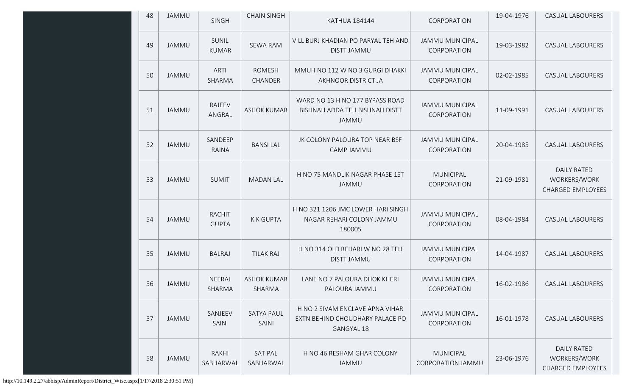| 48 | JAMMU        | <b>SINGH</b>                  | <b>CHAIN SINGH</b>           | <b>KATHUA 184144</b>                                                                                                              | CORPORATION                                  | 19-04-1976                                                     | <b>CASUAL LABOURERS</b>                                        |
|----|--------------|-------------------------------|------------------------------|-----------------------------------------------------------------------------------------------------------------------------------|----------------------------------------------|----------------------------------------------------------------|----------------------------------------------------------------|
| 49 | JAMMU        | SUNIL<br><b>KUMAR</b>         | <b>SEWA RAM</b>              | VILL BURJ KHADIAN PO PARYAL TEH AND<br><b>DISTT JAMMU</b>                                                                         | <b>JAMMU MUNICIPAL</b><br>CORPORATION        | 19-03-1982                                                     | <b>CASUAL LABOURERS</b>                                        |
| 50 | JAMMU        | ARTI<br>SHARMA                | <b>ROMESH</b><br>CHANDER     | MMUH NO 112 W NO 3 GURGI DHAKKI<br>AKHNOOR DISTRICT JA                                                                            | <b>JAMMU MUNICIPAL</b><br>CORPORATION        | 02-02-1985                                                     | <b>CASUAL LABOURERS</b>                                        |
| 51 | <b>JAMMU</b> | RAJEEV<br>ANGRAL              | <b>ASHOK KUMAR</b>           | WARD NO 13 H NO 177 BYPASS ROAD<br><b>JAMMU MUNICIPAL</b><br>11-09-1991<br>BISHNAH ADDA TEH BISHNAH DISTT<br>CORPORATION<br>JAMMU |                                              | <b>CASUAL LABOURERS</b>                                        |                                                                |
| 52 | <b>JAMMU</b> | SANDEEP<br>RAINA              | <b>BANSILAL</b>              | JK COLONY PALOURA TOP NEAR BSF<br>CAMP JAMMU                                                                                      | <b>CASUAL LABOURERS</b>                      |                                                                |                                                                |
| 53 | <b>JAMMU</b> | <b>SUMIT</b>                  | <b>MADAN LAL</b>             | <b>MUNICIPAL</b><br>H NO 75 MANDLIK NAGAR PHASE 1ST<br>21-09-1981<br><b>JAMMU</b><br>CORPORATION                                  |                                              | <b>DAILY RATED</b><br>WORKERS/WORK<br><b>CHARGED EMPLOYEES</b> |                                                                |
| 54 | <b>JAMMU</b> | <b>RACHIT</b><br><b>GUPTA</b> | <b>KKGUPTA</b>               | H NO 321 1206 JMC LOWER HARI SINGH<br><b>JAMMU MUNICIPAL</b><br>NAGAR REHARI COLONY JAMMU<br>CORPORATION<br>180005                |                                              | 08-04-1984                                                     | <b>CASUAL LABOURERS</b>                                        |
| 55 | <b>JAMMU</b> | <b>BALRAJ</b>                 | <b>TILAK RAJ</b>             | H NO 314 OLD REHARI W NO 28 TEH<br><b>DISTT JAMMU</b>                                                                             | <b>JAMMU MUNICIPAL</b><br>CORPORATION        | 14-04-1987                                                     | <b>CASUAL LABOURERS</b>                                        |
| 56 | <b>JAMMU</b> | NEERAJ<br>SHARMA              | <b>ASHOK KUMAR</b><br>SHARMA | LANE NO 7 PALOURA DHOK KHERI<br>PALOURA JAMMU                                                                                     | <b>JAMMU MUNICIPAL</b><br>CORPORATION        | 16-02-1986                                                     | <b>CASUAL LABOURERS</b>                                        |
| 57 | <b>JAMMU</b> | SANJEEV<br>SAINI              | <b>SATYA PAUL</b><br>SAINI   | H NO 2 SIVAM ENCLAVE APNA VIHAR<br>EXTN BEHIND CHOUDHARY PALACE PO<br><b>GANGYAL 18</b>                                           | <b>JAMMU MUNICIPAL</b><br>CORPORATION        | 16-01-1978                                                     | <b>CASUAL LABOURERS</b>                                        |
| 58 | <b>JAMMU</b> | RAKHI<br>SABHARWAL            | <b>SAT PAL</b><br>SABHARWAL  | H NO 46 RESHAM GHAR COLONY<br>JAMMU                                                                                               | <b>MUNICIPAL</b><br><b>CORPORATION JAMMU</b> | 23-06-1976                                                     | <b>DAILY RATED</b><br>WORKERS/WORK<br><b>CHARGED EMPLOYEES</b> |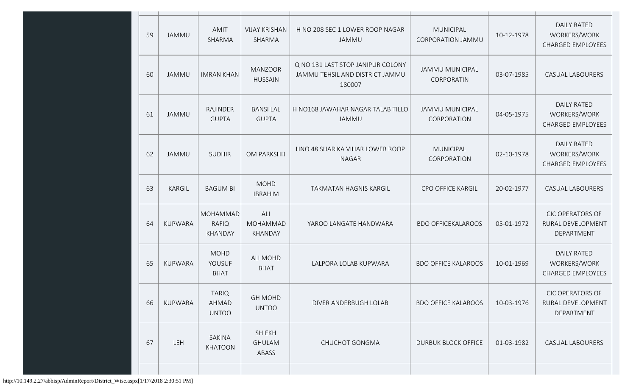| 59 | <b>JAMMU</b>   | AMIT<br>SHARMA                             | <b>VIJAY KRISHAN</b><br>SHARMA          | H NO 208 SEC 1 LOWER ROOP NAGAR<br>JAMMU                                       | <b>MUNICIPAL</b><br><b>CORPORATION JAMMU</b> | 10-12-1978 | <b>DAILY RATED</b><br>WORKERS/WORK<br>CHARGED EMPLOYEES        |  |  |
|----|----------------|--------------------------------------------|-----------------------------------------|--------------------------------------------------------------------------------|----------------------------------------------|------------|----------------------------------------------------------------|--|--|
| 60 | <b>JAMMU</b>   | <b>IMRAN KHAN</b>                          | <b>MANZOOR</b><br><b>HUSSAIN</b>        | Q NO 131 LAST STOP JANIPUR COLONY<br>JAMMU TEHSIL AND DISTRICT JAMMU<br>180007 | <b>JAMMU MUNICIPAL</b><br>CORPORATIN         | 03-07-1985 | <b>CASUAL LABOURERS</b>                                        |  |  |
| 61 | <b>JAMMU</b>   | RAJINDER<br><b>GUPTA</b>                   | <b>BANSILAL</b><br><b>GUPTA</b>         | H NO168 JAWAHAR NAGAR TALAB TILLO<br>JAMMU                                     | <b>JAMMU MUNICIPAL</b><br>CORPORATION        | 04-05-1975 | <b>DAILY RATED</b><br>WORKERS/WORK<br><b>CHARGED EMPLOYEES</b> |  |  |
| 62 | <b>JAMMU</b>   | <b>SUDHIR</b>                              | OM PARKSHH                              | HNO 48 SHARIKA VIHAR LOWER ROOP<br><b>NAGAR</b>                                | <b>MUNICIPAL</b><br>CORPORATION              | 02-10-1978 | <b>DAILY RATED</b><br>WORKERS/WORK<br><b>CHARGED EMPLOYEES</b> |  |  |
| 63 | <b>KARGIL</b>  | <b>BAGUM BI</b>                            | <b>MOHD</b><br><b>IBRAHIM</b>           | TAKMATAN HAGNIS KARGIL                                                         | CPO OFFICE KARGIL                            | 20-02-1977 | <b>CASUAL LABOURERS</b>                                        |  |  |
| 64 | <b>KUPWARA</b> | MOHAMMAD<br><b>RAFIQ</b><br><b>KHANDAY</b> | ALI<br>MOHAMMAD<br>KHANDAY              | YAROO LANGATE HANDWARA                                                         | <b>BDO OFFICEKALAROOS</b>                    | 05-01-1972 | <b>CIC OPERATORS OF</b><br>RURAL DEVELOPMENT<br>DEPARTMENT     |  |  |
| 65 | <b>KUPWARA</b> | <b>MOHD</b><br>YOUSUF<br><b>BHAT</b>       | <b>ALI MOHD</b><br><b>BHAT</b>          | LALPORA LOLAB KUPWARA                                                          | <b>BDO OFFICE KALAROOS</b>                   | 10-01-1969 | <b>DAILY RATED</b><br>WORKERS/WORK<br><b>CHARGED EMPLOYEES</b> |  |  |
| 66 | <b>KUPWARA</b> | <b>TARIQ</b><br>AHMAD<br><b>UNTOO</b>      | <b>GH MOHD</b><br><b>UNTOO</b>          | DIVER ANDERBUGH LOLAB                                                          | <b>BDO OFFICE KALAROOS</b>                   | 10-03-1976 | <b>CIC OPERATORS OF</b><br>RURAL DEVELOPMENT<br>DEPARTMENT     |  |  |
| 67 | LEH            | SAKINA<br><b>KHATOON</b>                   | <b>SHIEKH</b><br><b>GHULAM</b><br>ABASS | CHUCHOT GONGMA                                                                 | <b>DURBUK BLOCK OFFICE</b>                   | 01-03-1982 | <b>CASUAL LABOURERS</b>                                        |  |  |
|    |                |                                            |                                         |                                                                                |                                              |            |                                                                |  |  |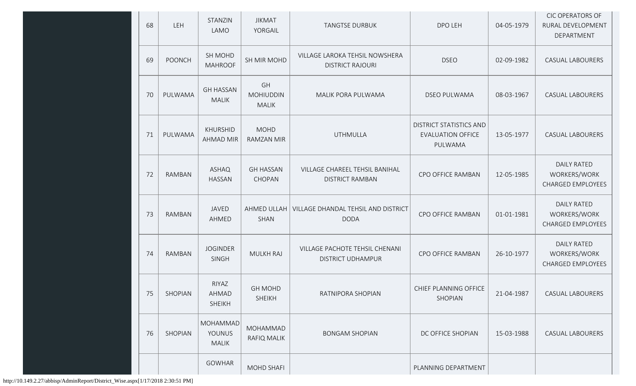| 68 | LEH           | STANZIN<br>LAMO                           | <b>JIKMAT</b><br>YORGAIL               | DPO LEH<br><b>TANGTSE DURBUK</b>                                                  |                                                | 04-05-1979 | <b>CIC OPERATORS OF</b><br>RURAL DEVELOPMENT<br>DEPARTMENT     |
|----|---------------|-------------------------------------------|----------------------------------------|-----------------------------------------------------------------------------------|------------------------------------------------|------------|----------------------------------------------------------------|
| 69 | <b>POONCH</b> | SH MOHD<br><b>MAHROOF</b>                 | SH MIR MOHD                            | VILLAGE LAROKA TEHSIL NOWSHERA<br><b>DISTRICT RAJOURI</b>                         | <b>DSEO</b>                                    | 02-09-1982 | <b>CASUAL LABOURERS</b>                                        |
| 70 | PULWAMA       | <b>GH HASSAN</b><br><b>MALIK</b>          | GH<br><b>MOHIUDDIN</b><br><b>MALIK</b> | MALIK PORA PULWAMA                                                                | <b>DSEO PULWAMA</b>                            | 08-03-1967 | <b>CASUAL LABOURERS</b>                                        |
| 71 | PULWAMA       | KHURSHID<br><b>AHMAD MIR</b>              | <b>MOHD</b><br><b>RAMZAN MIR</b>       | DISTRICT STATISTICS AND<br><b>UTHMULLA</b><br><b>EVALUATION OFFICE</b><br>PULWAMA |                                                | 13-05-1977 | <b>CASUAL LABOURERS</b>                                        |
| 72 | RAMBAN        | <b>ASHAQ</b><br><b>HASSAN</b>             | <b>GH HASSAN</b><br>CHOPAN             | VILLAGE CHAREEL TEHSIL BANIHAL<br><b>DISTRICT RAMBAN</b>                          | CPO OFFICE RAMBAN                              | 12-05-1985 | <b>DAILY RATED</b><br>WORKERS/WORK<br>CHARGED EMPLOYEES        |
| 73 | RAMBAN        | JAVED<br>AHMED                            | AHMED ULLAH<br><b>SHAN</b>             | VILLAGE DHANDAL TEHSIL AND DISTRICT<br><b>DODA</b>                                | CPO OFFICE RAMBAN                              | 01-01-1981 | <b>DAILY RATED</b><br>WORKERS/WORK<br><b>CHARGED EMPLOYEES</b> |
| 74 | <b>RAMBAN</b> | <b>JOGINDER</b><br>SINGH                  | <b>MULKH RAJ</b>                       | VILLAGE PACHOTE TEHSIL CHENANI<br>CPO OFFICE RAMBAN<br><b>DISTRICT UDHAMPUR</b>   |                                                | 26-10-1977 | <b>DAILY RATED</b><br>WORKERS/WORK<br><b>CHARGED EMPLOYEES</b> |
| 75 | SHOPIAN       | RIYAZ<br>AHMAD<br><b>SHEIKH</b>           | <b>GH MOHD</b><br><b>SHEIKH</b>        | RATNIPORA SHOPIAN                                                                 | CHIEF PLANNING OFFICE<br>21-04-1987<br>SHOPIAN |            | <b>CASUAL LABOURERS</b>                                        |
| 76 | SHOPIAN       | MOHAMMAD<br><b>YOUNUS</b><br><b>MALIK</b> | MOHAMMAD<br>RAFIQ MALIK                | <b>BONGAM SHOPIAN</b>                                                             | DC OFFICE SHOPIAN                              | 15-03-1988 | <b>CASUAL LABOURERS</b>                                        |
|    |               | <b>GOWHAR</b>                             | <b>MOHD SHAFI</b>                      |                                                                                   | PLANNING DEPARTMENT                            |            |                                                                |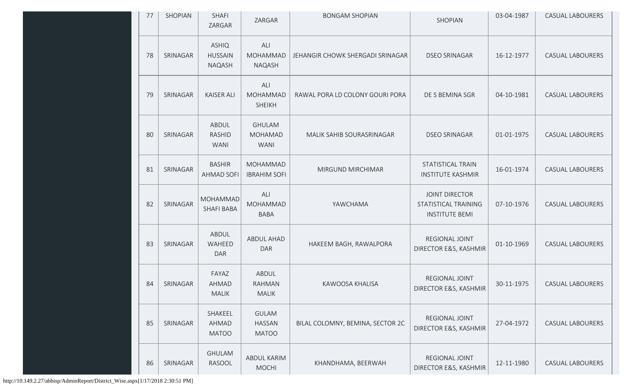| 77 | SHOPIAN  | <b>SHAFI</b><br>ZARGAR                          | ZARGAR                                         | <b>BONGAM SHOPIAN</b>            | SHOPIAN                                                                | 03-04-1987 | <b>CASUAL LABOURERS</b> |
|----|----------|-------------------------------------------------|------------------------------------------------|----------------------------------|------------------------------------------------------------------------|------------|-------------------------|
| 78 | SRINAGAR | <b>ASHIQ</b><br><b>HUSSAIN</b><br><b>NAQASH</b> | ALI<br>MOHAMMAD<br>NAQASH                      | JEHANGIR CHOWK SHERGADI SRINAGAR | <b>DSEO SRINAGAR</b>                                                   | 16-12-1977 | <b>CASUAL LABOURERS</b> |
| 79 | SRINAGAR | <b>KAISER ALI</b>                               | ALI<br>MOHAMMAD<br><b>SHEIKH</b>               | RAWAL PORA LD COLONY GOURI PORA  | DE S BEMINA SGR                                                        | 04-10-1981 | <b>CASUAL LABOURERS</b> |
| 80 | SRINAGAR | ABDUL<br><b>RASHID</b><br><b>WANI</b>           | <b>GHULAM</b><br><b>MOHAMAD</b><br><b>WANI</b> | MALIK SAHIB SOURASRINAGAR        | <b>DSEO SRINAGAR</b>                                                   | 01-01-1975 | <b>CASUAL LABOURERS</b> |
| 81 | SRINAGAR | <b>BASHIR</b><br><b>AHMAD SOFI</b>              | MOHAMMAD<br><b>IBRAHIM SOFI</b>                | MIRGUND MIRCHIMAR                | <b>STATISTICAL TRAIN</b><br><b>INSTITUTE KASHMIR</b>                   | 16-01-1974 | <b>CASUAL LABOURERS</b> |
| 82 | SRINAGAR | <b>MOHAMMAD</b><br><b>SHAFI BABA</b>            | ALI<br><b>MOHAMMAD</b><br><b>BABA</b>          | YAWCHAMA                         | <b>JOINT DIRECTOR</b><br>STATISTICAL TRAINING<br><b>INSTITUTE BEMI</b> | 07-10-1976 | <b>CASUAL LABOURERS</b> |
| 83 | SRINAGAR | ABDUL<br>WAHEED<br><b>DAR</b>                   | ABDUL AHAD<br><b>DAR</b>                       | HAKEEM BAGH, RAWALPORA           | REGIONAL JOINT<br>DIRECTOR E&S, KASHMIR                                | 01-10-1969 | <b>CASUAL LABOURERS</b> |
| 84 | SRINAGAR | FAYAZ<br>AHMAD<br><b>MALIK</b>                  | ABDUL<br>RAHMAN<br><b>MALIK</b>                | KAWOOSA KHALISA                  | REGIONAL JOINT<br>DIRECTOR E&S, KASHMIR                                | 30-11-1975 | <b>CASUAL LABOURERS</b> |
| 85 | SRINAGAR | SHAKEEL<br>AHMAD<br><b>MATOO</b>                | <b>GULAM</b><br><b>HASSAN</b><br><b>MATOO</b>  | BILAL COLOMNY, BEMINA, SECTOR 2C | REGIONAL JOINT<br>DIRECTOR E&S, KASHMIR                                | 27-04-1972 | <b>CASUAL LABOURERS</b> |
| 86 | SRINAGAR | <b>GHULAM</b><br>RASOOL                         | ABDUL KARIM<br><b>MOCHI</b>                    | KHANDHAMA, BEERWAH               | REGIONAL JOINT<br>DIRECTOR E&S, KASHMIR                                | 12-11-1980 | CASUAL LABOURERS        |